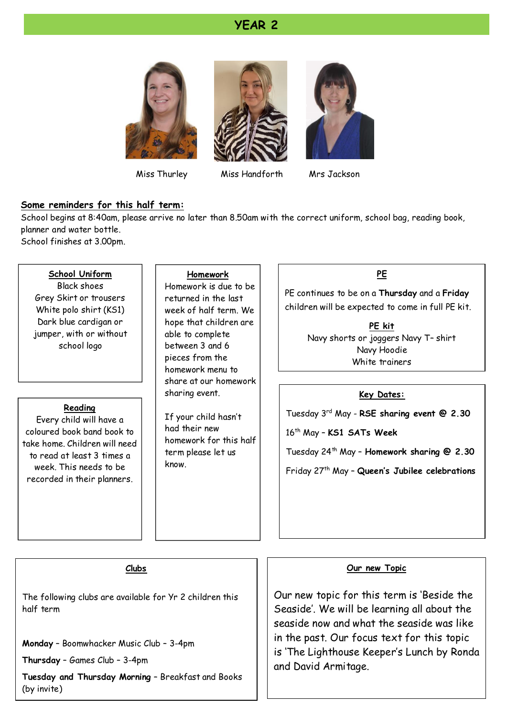#### **YEAR 2**







Miss Thurley Miss Handforth

Mrs Jackson

#### **Some reminders for this half term:**

School begins at 8:40am, please arrive no later than 8.50am with the correct uniform, school bag, reading book, planner and water bottle.

School finishes at 3.00pm.

#### **School Uniform**

Black shoes Grey Skirt or trousers White polo shirt (KS1) Dark blue cardigan or jumper, with or without school logo

#### **Reading**

Every child will have a coloured book band book to take home. Children will need to read at least 3 times a week. This needs to be recorded in their planners.

#### **Homework**

Homework is due to be returned in the last week of half term. We hope that children are able to complete between 3 and 6 pieces from the homework menu to share at our homework sharing event.

If your child hasn't had their new homework for this half term please let us know.

#### **PE**

PE continues to be on a **Thursday** and a **Friday** children will be expected to come in full PE kit.

> **PE kit** Navy shorts or joggers Navy T– shirt Navy Hoodie White trainers

#### **Key Dates:**

Tuesday 3rd May - **RSE sharing event @ 2.30**

16th May – **KS1 SATs Week**

Tuesday 24th May – **Homework sharing @ 2.30**

Friday 27th May – **Queen's Jubilee celebrations**

#### **Clubs**

The following clubs are available for Yr 2 children this half term

**Monday** – Boomwhacker Music Club – 3-4pm

**Thursday** – Games Club – 3-4pm

**Tuesday and Thursday Morning** – Breakfast and Books (by invite)

#### **Our new Topic**

Our new topic for this term is 'Beside the Seaside'. We will be learning all about the seaside now and what the seaside was like in the past. Our focus text for this topic is 'The Lighthouse Keeper's Lunch by Ronda and David Armitage.